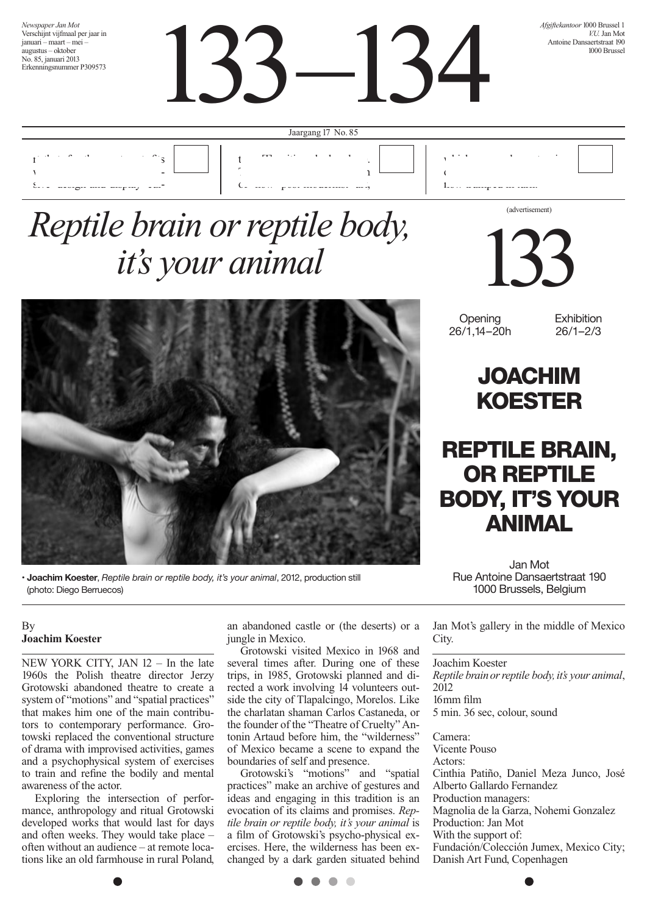*Newspaper Jan Mot* Verschijnt vijfmaal per jaar in januari – maart – mei – augustus – oktober No. 85, januari 2013 Erkenningsnummer P309573

133 –134

*Afgiftekantoor* 1000 Brussel 1 *VII* Ian Mot Antoine Dansaertstraat 190 1000 Brussel



## *Reptile brain or reptile body, it's your animal*



**• Joachim Koester**, *Reptile brain or reptile body, it's your animal*, 2012, production still (photo: Diego Berruecos)

### By **Joachim Koester**

NEW YORK CITY, JAN 12 – In the late 1960s the Polish theatre director Jerzy Grotowski abandoned theatre to create a system of "motions" and "spatial practices" that makes him one of the main contributors to contemporary performance. Grotowski replaced the conventional structure of drama with improvised activities, games and a psychophysical system of exercises to train and refine the bodily and mental awareness of the actor.

Exploring the intersection of performance, anthropology and ritual Grotowski developed works that would last for days and often weeks. They would take place often without an audience – at remote locations like an old farmhouse in rural Poland,

an abandoned castle or (the deserts) or a jungle in Mexico.

Grotowski visited Mexico in 1968 and several times after. During one of these trips, in 1985, Grotowski planned and directed a work involving 14 volunteers outside the city of Tlapalcingo, Morelos. Like the charlatan shaman Carlos Castaneda, or the founder of the "Theatre of Cruelty" Antonin Artaud before him, the "wilderness" of Mexico became a scene to expand the boundaries of self and presence.

Grotowski's "motions" and "spatial practices" make an archive of gestures and ideas and engaging in this tradition is an evocation of its claims and promises. *Reptile brain or reptile body, it's your animal* is a film of Grotowski's psycho-physical exercises. Here, the wilderness has been exchanged by a dark garden situated behind



**Opening** 26/1, 14–20h **Exhibition** 26/1–2/3

### JOACHIM KOESTER

### REPTILE BRAIN, OR REPTILE BODY, IT'S YOUR ANIMAL

Jan Mot Rue Antoine Dansaertstraat 190 1000 Brussels, Belgium

Jan Mot's gallery in the middle of Mexico City.

#### Joachim Koester

*Reptile brain or reptile body,it's your animal*, 2012 16mm film 5 min. 36 sec, colour, sound

Camera: Vicente Pouso Actors: Cinthia Patiño, Daniel Meza Junco, José Alberto Gallardo Fernandez Production managers: Magnolia de la Garza, Nohemi Gonzalez Production: Jan Mot With the support of: Fundación/Colección Jumex, Mexico City; Danish Art Fund, Copenhagen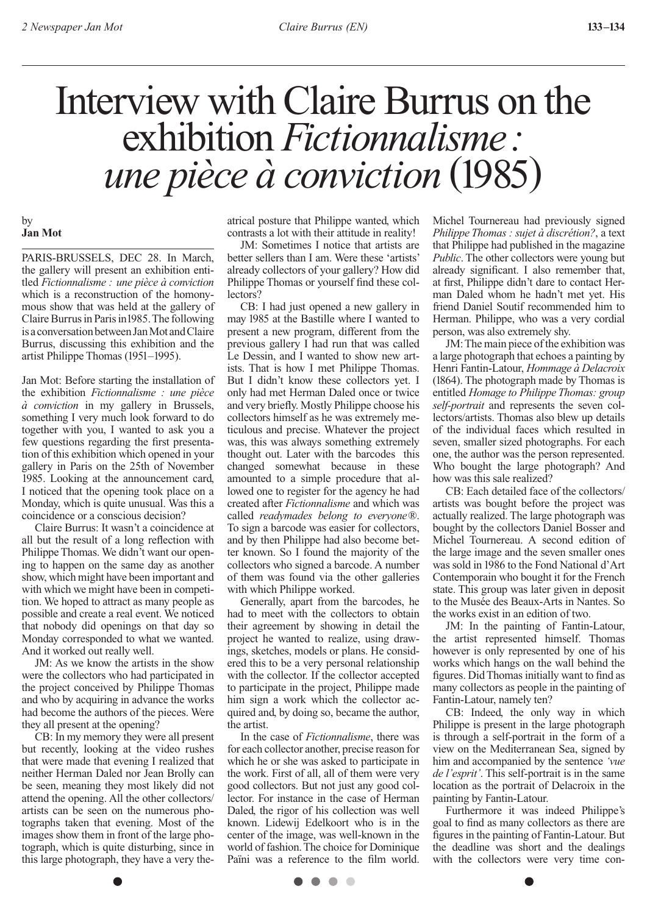## Interview with Claire Burrus on the exhibition *Fictionnalisme: une pièce à conviction* (1985)

#### by **Jan Mot**

PARIS-BRUSSELS, DEC 28. In March, the gallery will present an exhibition entitled *Fictionnalisme : une pièce à conviction* which is a reconstruction of the homonymous show that was held at the gallery of Claire Burrus in Paris in 1985. The following is a conversation between Jan Mot and Claire Burrus, discussing this exhibition and the artist Philippe Thomas (1951–1995).

Jan Mot: Before starting the installation of the exhibition *Fictionnalisme : une pièce à conviction* in my gallery in Brussels, something I very much look forward to do together with you, I wanted to ask you a few questions regarding the first presentation of this exhibition which opened in your gallery in Paris on the 25th of November 1985. Looking at the announcement card, I noticed that the opening took place on a Monday, which is quite unusual. Was this a coincidence or a conscious decision?

Claire Burrus: It wasn't a coincidence at all but the result of a long reflection with Philippe Thomas. We didn't want our opening to happen on the same day as another show, which might have been important and with which we might have been in competition. We hoped to attract as many people as possible and create a real event. We noticed that nobody did openings on that day so Monday corresponded to what we wanted. And it worked out really well.

JM: As we know the artists in the show were the collectors who had participated in the project conceived by Philippe Thomas and who by acquiring in advance the works had become the authors of the pieces. Were they all present at the opening?

CB: In my memory they were all present but recently, looking at the video rushes that were made that evening I realized that neither Herman Daled nor Jean Brolly can be seen, meaning they most likely did not attend the opening. All the other collectors/ artists can be seen on the numerous photographs taken that evening. Most of the images show them in front of the large photograph, which is quite disturbing, since in this large photograph, they have a very theatrical posture that Philippe wanted, which contrasts a lot with their attitude in reality!

JM: Sometimes I notice that artists are better sellers than I am. Were these 'artists' already collectors of your gallery? How did Philippe Thomas or yourself find these collectors?

CB: I had just opened a new gallery in may 1985 at the Bastille where I wanted to present a new program, different from the previous gallery I had run that was called Le Dessin, and I wanted to show new artists. That is how I met Philippe Thomas. But I didn't know these collectors yet. I only had met Herman Daled once or twice and very briefly. Mostly Philippe choose his collectors himself as he was extremely meticulous and precise. Whatever the project was, this was always something extremely thought out. Later with the barcodes this changed somewhat because in these amounted to a simple procedure that allowed one to register for the agency he had created after *Fictionnalisme* and which was called *readymades belong to everyone*®. To sign a barcode was easier for collectors, and by then Philippe had also become better known. So I found the majority of the collectors who signed a barcode. A number of them was found via the other galleries with which Philippe worked.

Generally, apart from the barcodes, he had to meet with the collectors to obtain their agreement by showing in detail the project he wanted to realize, using drawings, sketches, models or plans. He considered this to be a very personal relationship with the collector. If the collector accepted to participate in the project, Philippe made him sign a work which the collector acquired and, by doing so, became the author, the artist.

In the case of *Fictionnalisme*, there was for each collector another, precise reason for which he or she was asked to participate in the work. First of all, all of them were very good collectors. But not just any good collector. For instance in the case of Herman Daled, the rigor of his collection was well known. Lidewij Edelkoort who is in the center of the image, was well-known in the world of fashion. The choice for Dominique Païni was a reference to the film world.

Michel Tournereau had previously signed *Philippe Thomas : sujet à discrétion?*, a text that Philippe had published in the magazine *Public*. The other collectors were young but already significant. I also remember that, at first, Philippe didn't dare to contact Herman Daled whom he hadn't met yet. His friend Daniel Soutif recommended him to Herman. Philippe, who was a very cordial person, was also extremely shy.

JM: The main piece of the exhibition was a large photograph that echoes a painting by Henri Fantin-Latour, *Hommage à Delacroix* (1864). The photograph made by Thomas is entitled *Homage to Philippe Thomas: group self-portrait* and represents the seven collectors/artists. Thomas also blew up details of the individual faces which resulted in seven, smaller sized photographs. For each one, the author was the person represented. Who bought the large photograph? And how was this sale realized?

CB: Each detailed face of the collectors/ artists was bought before the project was actually realized. The large photograph was bought by the collectors Daniel Bosser and Michel Tournereau. A second edition of the large image and the seven smaller ones was sold in 1986 to the Fond National d'Art Contemporain who bought it for the French state. This group was later given in deposit to the Musée des Beaux-Arts in Nantes. So the works exist in an edition of two.

JM: In the painting of Fantin-Latour, the artist represented himself. Thomas however is only represented by one of his works which hangs on the wall behind the figures. Did Thomas initially want to find as many collectors as people in the painting of Fantin-Latour, namely ten?

CB: Indeed, the only way in which Philippe is present in the large photograph is through a self-portrait in the form of a view on the Mediterranean Sea, signed by him and accompanied by the sentence *'vue de l'esprit'*. This self-portrait is in the same location as the portrait of Delacroix in the painting by Fantin-Latour.

Furthermore it was indeed Philippe's goal to find as many collectors as there are figures in the painting of Fantin-Latour. But the deadline was short and the dealings with the collectors were very time con-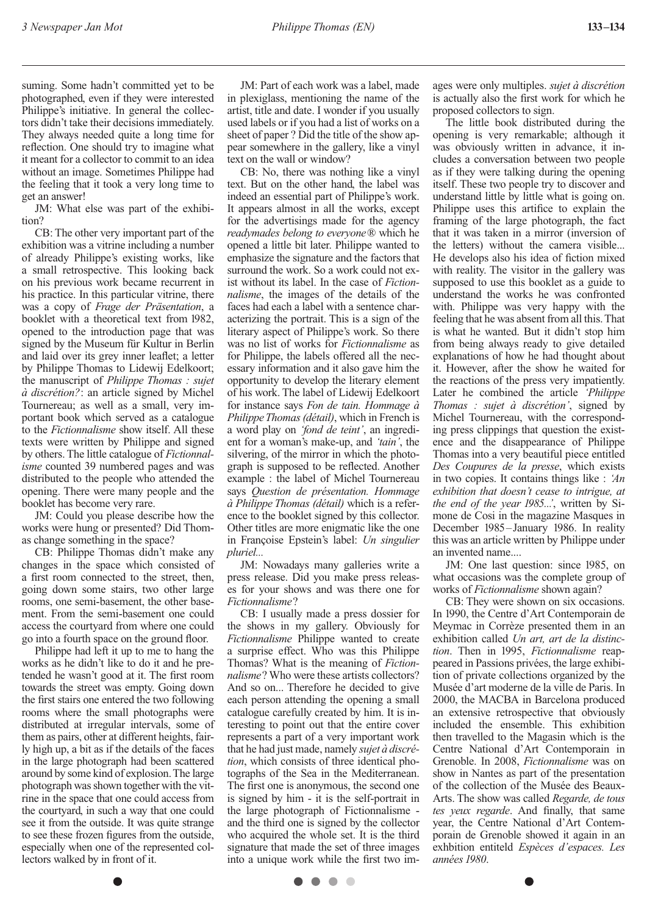suming. Some hadn't committed yet to be photographed, even if they were interested Philippe's initiative. In general the collectors didn't take their decisions immediately. They always needed quite a long time for reflection. One should try to imagine what it meant for a collector to commit to an idea without an image. Sometimes Philippe had the feeling that it took a very long time to get an answer!

JM: What else was part of the exhibition?

CB: The other very important part of the exhibition was a vitrine including a number of already Philippe's existing works, like a small retrospective. This looking back on his previous work became recurrent in his practice. In this particular vitrine, there was a copy of *Frage der Präsentation*, a booklet with a theoretical text from 1982, opened to the introduction page that was signed by the Museum für Kultur in Berlin and laid over its grey inner leaflet; a letter by Philippe Thomas to Lidewij Edelkoort; the manuscript of *Philippe Thomas : sujet à discrétion?*: an article signed by Michel Tournereau; as well as a small, very important book which served as a catalogue to the *Fictionnalisme* show itself. All these texts were written by Philippe and signed by others. The little catalogue of *Fictionnalisme* counted 39 numbered pages and was distributed to the people who attended the opening. There were many people and the booklet has become very rare.

JM: Could you please describe how the works were hung or presented? Did Thomas change something in the space?

CB: Philippe Thomas didn't make any changes in the space which consisted of a first room connected to the street, then, going down some stairs, two other large rooms, one semi-basement, the other basement. From the semi-basement one could access the courtyard from where one could go into a fourth space on the ground floor.

Philippe had left it up to me to hang the works as he didn't like to do it and he pretended he wasn't good at it. The first room towards the street was empty. Going down the first stairs one entered the two following rooms where the small photographs were distributed at irregular intervals, some of them as pairs, other at different heights, fairly high up, a bit as if the details of the faces in the large photograph had been scattered around by some kind of explosion. The large photograph was shown together with the vitrine in the space that one could access from the courtyard, in such a way that one could see it from the outside. It was quite strange to see these frozen figures from the outside, especially when one of the represented collectors walked by in front of it.

JM: Part of each work was a label, made in plexiglass, mentioning the name of the artist, title and date. I wonder if you usually used labels or if you had a list of works on a sheet of paper ? Did the title of the show appear somewhere in the gallery, like a vinyl text on the wall or window?

CB: No, there was nothing like a vinyl text. But on the other hand, the label was indeed an essential part of Philippe's work. It appears almost in all the works, except for the advertisings made for the agency *readymades belong to everyone*® which he opened a little bit later. Philippe wanted to emphasize the signature and the factors that surround the work. So a work could not exist without its label. In the case of *Fictionnalisme*, the images of the details of the faces had each a label with a sentence characterizing the portrait. This is a sign of the literary aspect of Philippe's work. So there was no list of works for *Fictionnalisme* as for Philippe, the labels offered all the necessary information and it also gave him the opportunity to develop the literary element of his work. The label of Lidewij Edelkoort for instance says *Fon de tain. Hommage à Philippe Thomas (détail)*, which in French is a word play on *'fond de teint'*, an ingredient for a woman's make-up, and *'tain'*, the silvering, of the mirror in which the photograph is supposed to be reflected. Another example : the label of Michel Tournereau says *Question de présentation. Hommage à Philippe Thomas (détail)* which is a reference to the booklet signed by this collector. Other titles are more enigmatic like the one in Françoise Epstein's label: *Un singulier pluriel...*

JM: Nowadays many galleries write a press release. Did you make press releases for your shows and was there one for *Fictionnalisme*?

CB: I usually made a press dossier for the shows in my gallery. Obviously for *Fictionnalisme* Philippe wanted to create a surprise effect. Who was this Philippe Thomas? What is the meaning of *Fictionnalisme*? Who were these artists collectors? And so on... Therefore he decided to give each person attending the opening a small catalogue carefully created by him. It is interesting to point out that the entire cover represents a part of a very important work that he had just made, namely *sujet à discrétion*, which consists of three identical photographs of the Sea in the Mediterranean. The first one is anonymous, the second one is signed by him - it is the self-portrait in the large photograph of Fictionnalisme and the third one is signed by the collector who acquired the whole set. It is the third signature that made the set of three images into a unique work while the first two images were only multiples. *sujet à discrétion* is actually also the first work for which he proposed collectors to sign.

The little book distributed during the opening is very remarkable; although it was obviously written in advance, it includes a conversation between two people as if they were talking during the opening itself. These two people try to discover and understand little by little what is going on. Philippe uses this artifice to explain the framing of the large photograph, the fact that it was taken in a mirror (inversion of the letters) without the camera visible... He develops also his idea of fiction mixed with reality. The visitor in the gallery was supposed to use this booklet as a guide to understand the works he was confronted with. Philippe was very happy with the feeling that he was absent from all this. That is what he wanted. But it didn't stop him from being always ready to give detailed explanations of how he had thought about it. However, after the show he waited for the reactions of the press very impatiently. Later he combined the article *'Philippe Thomas : sujet à discrétion'*, signed by Michel Tournereau, with the corresponding press clippings that question the existence and the disappearance of Philippe Thomas into a very beautiful piece entitled *Des Coupures de la presse*, which exists in two copies. It contains things like : *'An exhibition that doesn't cease to intrigue, at the end of the year 1985...'*, written by Simone de Cosi in the magazine Masques in December 1985–January 1986. In reality this was an article written by Philippe under an invented name....

JM: One last question: since 1985, on what occasions was the complete group of works of *Fictionnalisme* shown again?

CB: They were shown on six occasions. In 1990, the Centre d'Art Contemporain de Meymac in Corrèze presented them in an exhibition called *Un art, art de la distinction*. Then in 1995, *Fictionnalisme* reappeared in Passions privées, the large exhibition of private collections organized by the Musée d'art moderne de la ville de Paris. In 2000, the MACBA in Barcelona produced an extensive retrospective that obviously included the ensemble. This exhibition then travelled to the Magasin which is the Centre National d'Art Contemporain in Grenoble. In 2008, *Fictionnalisme* was on show in Nantes as part of the presentation of the collection of the Musée des Beaux-Arts. The show was called *Regarde, de tous tes yeux regarde*. And finally, that same year, the Centre National d'Art Contemporain de Grenoble showed it again in an exhbition entiteld *Espèces d'espaces. Les années 1980*.

 $\bullet$   $\bullet$  $\sqrt{2}$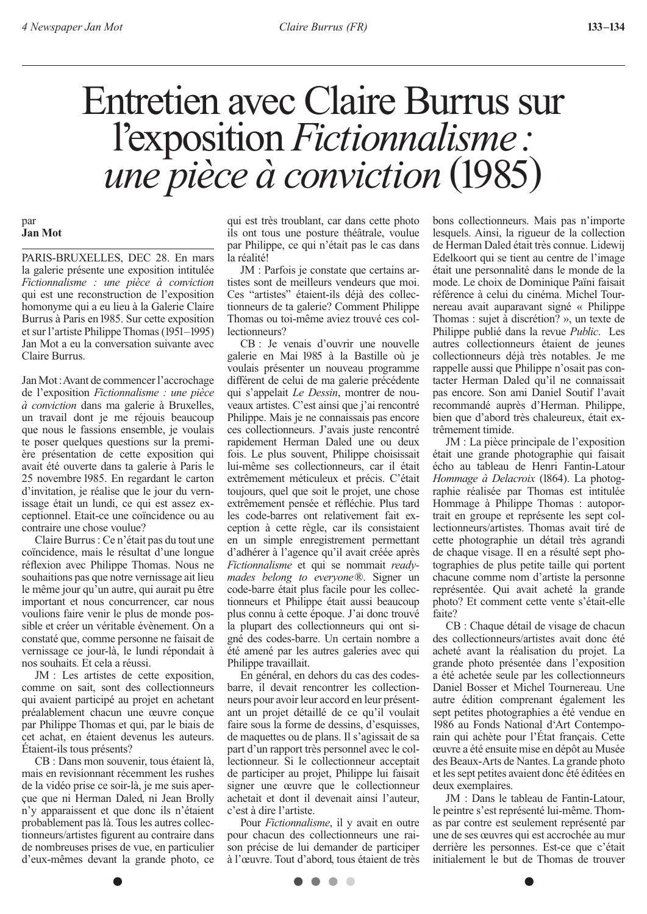# Entretien avec Claire Burrus sur l'exposition *Fictionnalisme: une pièce à conviction* (1985)

#### par **Jan Mot**

PARIS-BRUXELLES, DEC 28. En mars la galerie présente une exposition intitulée *Fictionnalisme : une pièce à conviction*  qui est une reconstruction de l'exposition homonyme qui a eu lieu à la Galerie Claire Burrus à Paris en 1985. Sur cette exposition et sur l'artiste Philippe Thomas (1951–1995) Jan Mot a eu la conversation suivante avec Claire Burrus.

Jan Mot: Avant de commencer l'accrochage de l'exposition *Fictionnalisme : une pièce à conviction* dans ma galerie à Bruxelles, un travail dont je me réjouis beaucoup que nous le fassions ensemble, je voulais te poser quelques questions sur la première présentation de cette exposition qui avait été ouverte dans ta galerie à Paris le 25 novembre 1985. En regardant le carton d'invitation, je réalise que le jour du vernissage était un lundi, ce qui est assez exceptionnel. Etait-ce une coïncidence ou au contraire une chose voulue?

Claire Burrus : Ce n'était pas du tout une coïncidence, mais le résultat d'une longue réflexion avec Philippe Thomas. Nous ne souhaitions pas que notre vernissage ait lieu le même jour qu'un autre, qui aurait pu être important et nous concurrencer, car nous voulions faire venir le plus de monde possible et créer un véritable évènement. On a constaté que, comme personne ne faisait de vernissage ce jour-là, le lundi répondait à nos souhaits. Et cela a réussi.

JM : Les artistes de cette exposition, comme on sait, sont des collectionneurs qui avaient participé au projet en achetant préalablement chacun une œuvre conçue par Philippe Thomas et qui, par le biais de cet achat, en étaient devenus les auteurs. Étaient-ils tous présents?

CB : Dans mon souvenir, tous étaient là, mais en revisionnant récemment les rushes de la vidéo prise ce soir-là, je me suis aperçue que ni Herman Daled, ni Jean Brolly n'y apparaissent et que donc ils n'étaient probablement pas là. Tous les autres collectionneurs/artistes figurent au contraire dans de nombreuses prises de vue, en particulier d'eux-mêmes devant la grande photo, ce qui est très troublant, car dans cette photo ils ont tous une posture théâtrale, voulue par Philippe, ce qui n'était pas le cas dans la réalité!

JM : Parfois je constate que certains artistes sont de meilleurs vendeurs que moi. Ces "artistes" étaient-ils déjà des collectionneurs de ta galerie? Comment Philippe Thomas ou toi-même aviez trouvé ces collectionneurs?

CB : Je venais d'ouvrir une nouvelle galerie en Mai 1985 à la Bastille où je voulais présenter un nouveau programme différent de celui de ma galerie précédente qui s'appelait *Le Dessin*, montrer de nouveaux artistes. C'est ainsi que j'ai rencontré Philippe. Mais je ne connaissais pas encore ces collectionneurs. J'avais juste rencontré rapidement Herman Daled une ou deux fois. Le plus souvent, Philippe choisissait lui-même ses collectionneurs, car il était extrêmement méticuleux et précis. C'était toujours, quel que soit le projet, une chose extrêmement pensée et réfléchie. Plus tard les code-barres ont relativement fait exception à cette règle, car ils consistaient en un simple enregistrement permettant d'adhérer à l'agence qu'il avait créée après *Fictionnalisme* et qui se nommait *readymades belong to everyone*®. Signer un code-barre était plus facile pour les collectionneurs et Philippe était aussi beaucoup plus connu à cette époque. J'ai donc trouvé la plupart des collectionneurs qui ont signé des codes-barre. Un certain nombre a été amené par les autres galeries avec qui Philippe travaillait.

En général, en dehors du cas des codesbarre, il devait rencontrer les collectionneurs pour avoir leur accord en leur présentant un projet détaillé de ce qu'il voulait faire sous la forme de dessins, d'esquisses, de maquettes ou de plans. Il s'agissait de sa part d'un rapport très personnel avec le collectionneur. Si le collectionneur acceptait de participer au projet, Philippe lui faisait signer une œuvre que le collectionneur achetait et dont il devenait ainsi l'auteur, c'est à dire l'artiste.

Pour *Fictionnalisme*, il y avait en outre pour chacun des collectionneurs une raison précise de lui demander de participer à l'œuvre. Tout d'abord, tous étaient de très

. . . .

bons collectionneurs. Mais pas n'importe lesquels. Ainsi, la rigueur de la collection de Herman Daled était très connue. Lidewij Edelkoort qui se tient au centre de l'image était une personnalité dans le monde de la mode. Le choix de Dominique Païni faisait référence à celui du cinéma. Michel Tournereau avait auparavant signé « Philippe Thomas : sujet à discrétion? », un texte de Philippe publié dans la revue *Public*. Les autres collectionneurs étaient de jeunes collectionneurs déjà très notables. Je me rappelle aussi que Philippe n'osait pas contacter Herman Daled qu'il ne connaissait pas encore. Son ami Daniel Soutif l'avait recommandé auprès d'Herman. Philippe, bien que d'abord très chaleureux, était extrêmement timide.

JM : La pièce principale de l'exposition était une grande photographie qui faisait écho au tableau de Henri Fantin-Latour *Hommage à Delacroix* (1864). La photographie réalisée par Thomas est intitulée Hommage à Philippe Thomas : autoportrait en groupe et représente les sept collectionneurs/artistes. Thomas avait tiré de cette photographie un détail très agrandi de chaque visage. Il en a résulté sept photographies de plus petite taille qui portent chacune comme nom d'artiste la personne représentée. Qui avait acheté la grande photo? Et comment cette vente s'était-elle faite?

CB : Chaque détail de visage de chacun des collectionneurs/artistes avait donc été acheté avant la réalisation du projet. La grande photo présentée dans l'exposition a été achetée seule par les collectionneurs Daniel Bosser et Michel Tournereau. Une autre édition comprenant également les sept petites photographies a été vendue en 1986 au Fonds National d'Art Contemporain qui achète pour l'État français. Cette œuvre a été ensuite mise en dépôt au Musée des Beaux-Arts de Nantes. La grande photo et les sept petites avaient donc été éditées en deux exemplaires.

JM : Dans le tableau de Fantin-Latour, le peintre s'est représenté lui-même. Thomas par contre est seulement représenté par une de ses œuvres qui est accrochée au mur derrière les personnes. Est-ce que c'était initialement le but de Thomas de trouver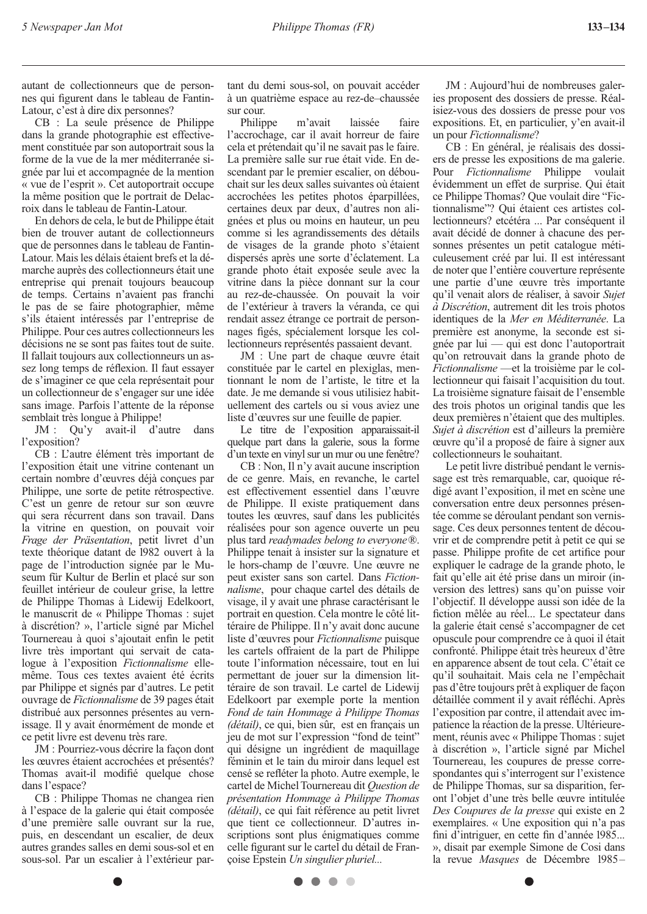autant de collectionneurs que de personnes qui figurent dans le tableau de Fantin-Latour, c'est à dire dix personnes?

CB : La seule présence de Philippe dans la grande photographie est effectivement constituée par son autoportrait sous la forme de la vue de la mer méditerranée signée par lui et accompagnée de la mention « vue de l'esprit ». Cet autoportrait occupe la même position que le portrait de Delacroix dans le tableau de Fantin-Latour.

En dehors de cela, le but de Philippe était bien de trouver autant de collectionneurs que de personnes dans le tableau de Fantin-Latour. Mais les délais étaient brefs et la démarche auprès des collectionneurs était une entreprise qui prenait toujours beaucoup de temps. Certains n'avaient pas franchi le pas de se faire photographier, même s'ils étaient intéressés par l'entreprise de Philippe. Pour ces autres collectionneurs les décisions ne se sont pas faites tout de suite. Il fallait toujours aux collectionneurs un assez long temps de réflexion. Il faut essayer de s'imaginer ce que cela représentait pour un collectionneur de s'engager sur une idée sans image. Parfois l'attente de la réponse semblait très longue à Philippe!

JM : Qu'y avait-il d'autre dans l'exposition?

CB : L'autre élément très important de l'exposition était une vitrine contenant un certain nombre d'œuvres déjà conçues par Philippe, une sorte de petite rétrospective. C'est un genre de retour sur son œuvre qui sera récurrent dans son travail. Dans la vitrine en question, on pouvait voir *Frage der Präsentation*, petit livret d'un texte théorique datant de 1982 ouvert à la page de l'introduction signée par le Museum für Kultur de Berlin et placé sur son feuillet intérieur de couleur grise, la lettre de Philippe Thomas à Lidewij Edelkoort, le manuscrit de « Philippe Thomas : sujet à discrétion? », l'article signé par Michel Tournereau à quoi s'ajoutait enfin le petit livre très important qui servait de catalogue à l'exposition *Fictionnalisme* ellemême. Tous ces textes avaient été écrits par Philippe et signés par d'autres. Le petit ouvrage de *Fictionnalisme* de 39 pages était distribué aux personnes présentes au vernissage. Il y avait énormément de monde et ce petit livre est devenu très rare.

JM : Pourriez-vous décrire la façon dont les œuvres étaient accrochées et présentés? Thomas avait-il modifié quelque chose dans l'espace?

CB : Philippe Thomas ne changea rien à l'espace de la galerie qui était composée d'une première salle ouvrant sur la rue, puis, en descendant un escalier, de deux autres grandes salles en demi sous-sol et en sous-sol. Par un escalier à l'extérieur partant du demi sous-sol, on pouvait accéder à un quatrième espace au rez-de–chaussée sur cour.

Philippe m'avait laissée faire l'accrochage, car il avait horreur de faire cela et prétendait qu'il ne savait pas le faire. La première salle sur rue était vide. En descendant par le premier escalier, on débouchait sur les deux salles suivantes où étaient accrochées les petites photos éparpillées, certaines deux par deux, d'autres non alignées et plus ou moins en hauteur, un peu comme si les agrandissements des détails de visages de la grande photo s'étaient dispersés après une sorte d'éclatement. La grande photo était exposée seule avec la vitrine dans la pièce donnant sur la cour au rez-de-chaussée. On pouvait la voir de l'extérieur à travers la véranda, ce qui rendait assez étrange ce portrait de personnages figés, spécialement lorsque les collectionneurs représentés passaient devant.

JM : Une part de chaque œuvre était constituée par le cartel en plexiglas, mentionnant le nom de l'artiste, le titre et la date. Je me demande si vous utilisiez habituellement des cartels ou si vous aviez une liste d'œuvres sur une feuille de papier.

Le titre de l'exposition apparaissait-il quelque part dans la galerie, sous la forme d'un texte en vinyl sur un mur ou une fenêtre?

CB : Non, Il n'y avait aucune inscription de ce genre. Mais, en revanche, le cartel est effectivement essentiel dans l'œuvre de Philippe. Il existe pratiquement dans toutes les œuvres, sauf dans les publicités réalisées pour son agence ouverte un peu plus tard *readymades belong to everyone*®. Philippe tenait à insister sur la signature et le hors-champ de l'œuvre. Une œuvre ne peut exister sans son cartel. Dans *Fictionnalisme*, pour chaque cartel des détails de visage, il y avait une phrase caractérisant le portrait en question. Cela montre le côté littéraire de Philippe. Il n'y avait donc aucune liste d'œuvres pour *Fictionnalisme* puisque les cartels offraient de la part de Philippe toute l'information nécessaire, tout en lui permettant de jouer sur la dimension littéraire de son travail. Le cartel de Lidewij Edelkoort par exemple porte la mention *Fond de tain Hommage à Philippe Thomas (détail)*, ce qui, bien sûr, est en français un jeu de mot sur l'expression "fond de teint" qui désigne un ingrédient de maquillage féminin et le tain du miroir dans lequel est censé se refléter la photo. Autre exemple, le cartel de Michel Tournereau dit *Question de présentation Hommage à Philippe Thomas (détail)*, ce qui fait référence au petit livret que tient ce collectionneur. D'autres inscriptions sont plus énigmatiques comme celle figurant sur le cartel du détail de Françoise Epstein *Un singulier pluriel...*

JM : Aujourd'hui de nombreuses galeries proposent des dossiers de presse. Réalisiez-vous des dossiers de presse pour vos expositions. Et, en particulier, y'en avait-il un pour *Fictionnalisme*?

CB : En général, je réalisais des dossiers de presse les expositions de ma galerie. Pour *Fictionnalisme* Philippe voulait évidemment un effet de surprise. Qui était ce Philippe Thomas? Que voulait dire "Fictionnalisme"? Qui étaient ces artistes collectionneurs? etcétéra ... Par conséquent il avait décidé de donner à chacune des personnes présentes un petit catalogue méticuleusement créé par lui. Il est intéressant de noter que l'entière couverture représente une partie d'une œuvre très importante qu'il venait alors de réaliser, à savoir *Sujet à Discrétion*, autrement dit les trois photos identiques de la *Mer en Méditerranée*. La première est anonyme, la seconde est signée par lui — qui est donc l'autoportrait qu'on retrouvait dans la grande photo de *Fictionnalisme* —et la troisième par le collectionneur qui faisait l'acquisition du tout. La troisième signature faisait de l'ensemble des trois photos un original tandis que les deux premières n'étaient que des multiples. *Sujet à discrétion* est d'ailleurs la première œuvre qu'il a proposé de faire à signer aux collectionneurs le souhaitant.

Le petit livre distribué pendant le vernissage est très remarquable, car, quoique rédigé avant l'exposition, il met en scène une conversation entre deux personnes présentée comme se déroulant pendant son vernissage. Ces deux personnes tentent de découvrir et de comprendre petit à petit ce qui se passe. Philippe profite de cet artifice pour expliquer le cadrage de la grande photo, le fait qu'elle ait été prise dans un miroir (inversion des lettres) sans qu'on puisse voir l'objectif. Il développe aussi son idée de la fiction mêlée au réel... Le spectateur dans la galerie était censé s'accompagner de cet opuscule pour comprendre ce à quoi il était confronté. Philippe était très heureux d'être en apparence absent de tout cela. C'était ce qu'il souhaitait. Mais cela ne l'empêchait pas d'être toujours prêt à expliquer de façon détaillée comment il y avait réfléchi. Après l'exposition par contre, il attendait avec impatience la réaction de la presse. Ultérieurement, réunis avec « Philippe Thomas : sujet à discrétion », l'article signé par Michel Tournereau, les coupures de presse correspondantes qui s'interrogent sur l'existence de Philippe Thomas, sur sa disparition, feront l'objet d'une très belle œuvre intitulée *Des Coupures de la presse* qui existe en 2 exemplaires. « Une exposition qui n'a pas fini d'intriguer, en cette fin d'année 1985... », disait par exemple Simone de Cosi dans la revue *Masques* de Décembre 1985–

 $\blacksquare$  $\sqrt{2}$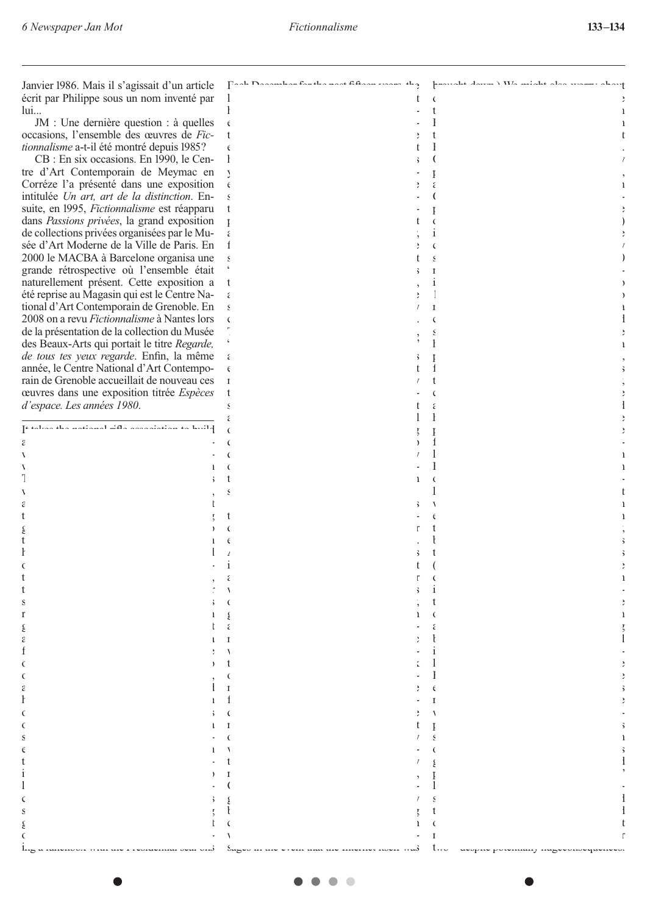| Janvier 1986. Mais il s'agissait d'un article      |                |   |  |
|----------------------------------------------------|----------------|---|--|
|                                                    |                |   |  |
| écrit par Philippe sous un nom inventé par         |                |   |  |
| lui                                                |                |   |  |
| $JM$ : Une dernière question : à quelles           | $\epsilon$     |   |  |
| occasions, l'ensemble des œuvres de Fic-           | $\mathfrak{t}$ |   |  |
|                                                    |                |   |  |
| <i>tionnalisme</i> a-t-il été montré depuis 1985?  | $\epsilon$     |   |  |
| CB : En six occasions. En 1990, le Cen-            | ł              |   |  |
| tre d'Art Contemporain de Meymac en                |                |   |  |
|                                                    | Ņ              |   |  |
| Corréze l'a présenté dans une exposition           | $\epsilon$     |   |  |
| intitulée Un art, art de la distinction. En-       |                |   |  |
| suite, en 1995, Fictionnalisme est réapparu        |                |   |  |
|                                                    |                |   |  |
| dans Passions privées, la grand exposition         | Ţ              |   |  |
| de collections privées organisées par le Mu-       |                |   |  |
| sée d'Art Moderne de la Ville de Paris. En         | İ              |   |  |
| 2000 le MACBA à Barcelone organisa une             |                |   |  |
|                                                    |                |   |  |
| grande rétrospective où l'ensemble était           |                |   |  |
| naturellement présent. Cette exposition a          |                |   |  |
| été reprise au Magasin qui est le Centre Na-       |                |   |  |
|                                                    |                |   |  |
| tional d'Art Contemporain de Grenoble. En          |                |   |  |
| 2008 on a revu <i>Fictionnalisme</i> à Nantes lors |                |   |  |
| de la présentation de la collection du Musée       |                |   |  |
|                                                    |                |   |  |
| des Beaux-Arts qui portait le titre Regarde,       |                |   |  |
| de tous tes yeux regarde. Enfin, la même           |                |   |  |
| année, le Centre National d'Art Contempo-          |                |   |  |
|                                                    |                |   |  |
| rain de Grenoble accueillait de nouveau ces        |                |   |  |
| ceuvres dans une exposition titrée <i>Espèces</i>  |                |   |  |
| d'espace. Les années 1980.                         |                |   |  |
|                                                    |                |   |  |
| إقامته بالاستقباء بالمتحدث والأشا فسيقت بالمحاملة  |                |   |  |
|                                                    | $\epsilon$     |   |  |
|                                                    |                |   |  |
|                                                    |                |   |  |
|                                                    |                |   |  |
|                                                    |                |   |  |
|                                                    |                |   |  |
|                                                    |                |   |  |
|                                                    |                |   |  |
|                                                    |                |   |  |
|                                                    |                |   |  |
|                                                    |                |   |  |
| t                                                  |                |   |  |
|                                                    |                |   |  |
|                                                    |                |   |  |
|                                                    |                |   |  |
| t                                                  |                |   |  |
|                                                    |                |   |  |
| t                                                  |                |   |  |
|                                                    |                |   |  |
| ľ                                                  |                |   |  |
|                                                    |                |   |  |
|                                                    |                |   |  |
| ε                                                  |                |   |  |
|                                                    |                |   |  |
|                                                    |                |   |  |
|                                                    |                |   |  |
|                                                    |                |   |  |
|                                                    |                |   |  |
|                                                    |                |   |  |
|                                                    |                |   |  |
|                                                    |                |   |  |
|                                                    |                |   |  |
|                                                    |                |   |  |
|                                                    |                |   |  |
|                                                    |                |   |  |
|                                                    |                |   |  |
|                                                    |                |   |  |
|                                                    |                |   |  |
|                                                    |                |   |  |
|                                                    |                |   |  |
|                                                    |                | t |  |
|                                                    | $\epsilon$     |   |  |
|                                                    |                |   |  |
|                                                    |                |   |  |
|                                                    |                |   |  |
|                                                    |                |   |  |

 $- - - - -$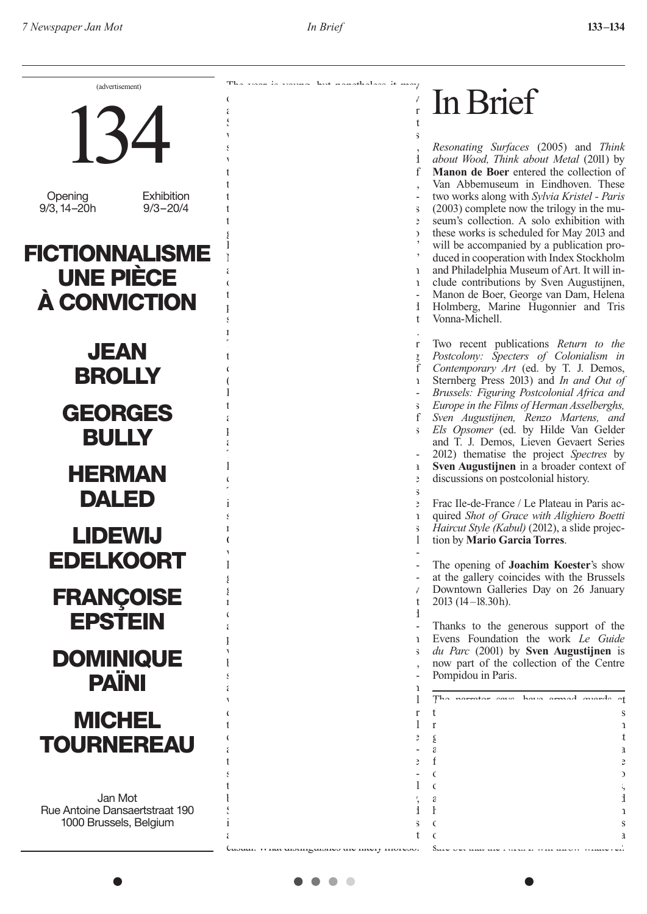

 $\bullet$  $\sqrt{2}$